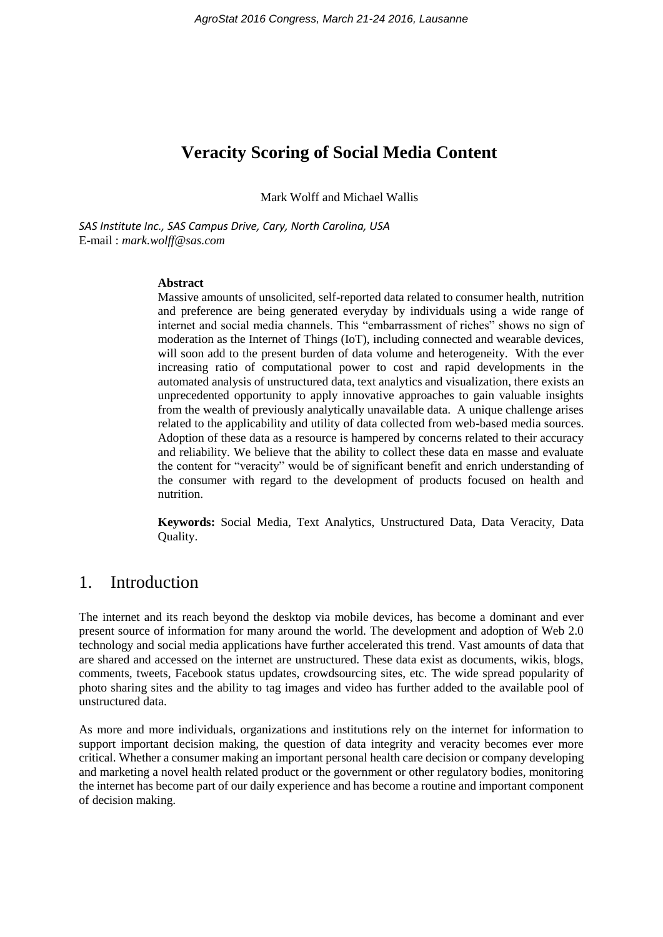## **Veracity Scoring of Social Media Content**

Mark Wolff and Michael Wallis

*SAS Institute Inc., SAS Campus Drive, Cary, North Carolina, USA* E-mail : *mark.wolff@sas.com*

## **Abstract**

Massive amounts of unsolicited, self-reported data related to consumer health, nutrition and preference are being generated everyday by individuals using a wide range of internet and social media channels. This "embarrassment of riches" shows no sign of moderation as the Internet of Things (IoT), including connected and wearable devices, will soon add to the present burden of data volume and heterogeneity. With the ever increasing ratio of computational power to cost and rapid developments in the automated analysis of unstructured data, text analytics and visualization, there exists an unprecedented opportunity to apply innovative approaches to gain valuable insights from the wealth of previously analytically unavailable data. A unique challenge arises related to the applicability and utility of data collected from web-based media sources. Adoption of these data as a resource is hampered by concerns related to their accuracy and reliability. We believe that the ability to collect these data en masse and evaluate the content for "veracity" would be of significant benefit and enrich understanding of the consumer with regard to the development of products focused on health and nutrition.

**Keywords:** Social Media, Text Analytics, Unstructured Data, Data Veracity, Data Quality.

## 1. Introduction

The internet and its reach beyond the desktop via mobile devices, has become a dominant and ever present source of information for many around the world. The development and adoption of Web 2.0 technology and social media applications have further accelerated this trend. Vast amounts of data that are shared and accessed on the internet are unstructured. These data exist as documents, wikis, blogs, comments, tweets, Facebook status updates, crowdsourcing sites, etc. The wide spread popularity of photo sharing sites and the ability to tag images and video has further added to the available pool of unstructured data.

As more and more individuals, organizations and institutions rely on the internet for information to support important decision making, the question of data integrity and veracity becomes ever more critical. Whether a consumer making an important personal health care decision or company developing and marketing a novel health related product or the government or other regulatory bodies, monitoring the internet has become part of our daily experience and has become a routine and important component of decision making.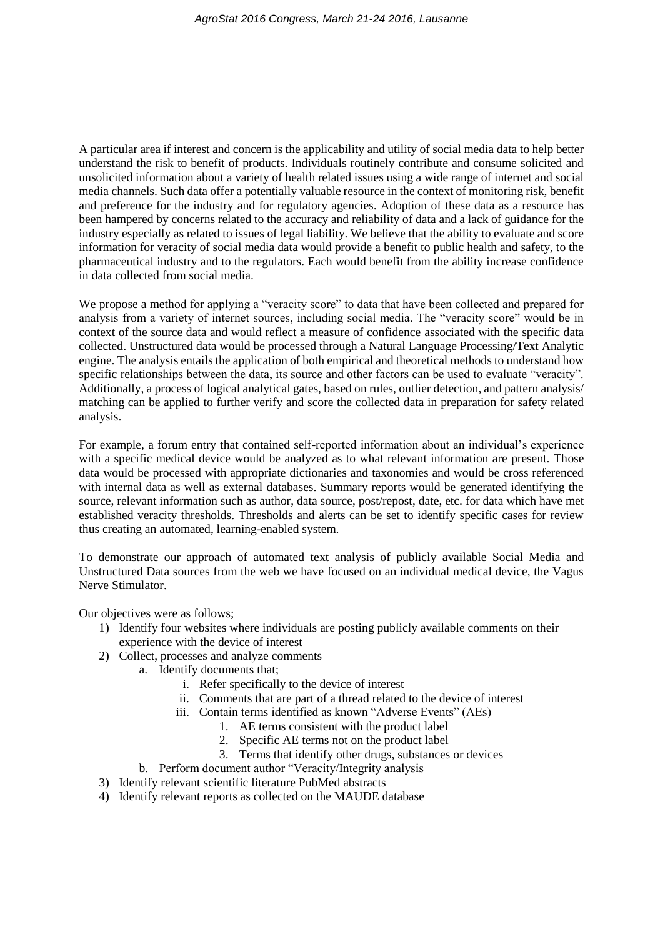A particular area if interest and concern is the applicability and utility of social media data to help better understand the risk to benefit of products. Individuals routinely contribute and consume solicited and unsolicited information about a variety of health related issues using a wide range of internet and social media channels. Such data offer a potentially valuable resource in the context of monitoring risk, benefit and preference for the industry and for regulatory agencies. Adoption of these data as a resource has been hampered by concerns related to the accuracy and reliability of data and a lack of guidance for the industry especially as related to issues of legal liability. We believe that the ability to evaluate and score information for veracity of social media data would provide a benefit to public health and safety, to the pharmaceutical industry and to the regulators. Each would benefit from the ability increase confidence in data collected from social media.

We propose a method for applying a "veracity score" to data that have been collected and prepared for analysis from a variety of internet sources, including social media. The "veracity score" would be in context of the source data and would reflect a measure of confidence associated with the specific data collected. Unstructured data would be processed through a Natural Language Processing/Text Analytic engine. The analysis entails the application of both empirical and theoretical methods to understand how specific relationships between the data, its source and other factors can be used to evaluate "veracity". Additionally, a process of logical analytical gates, based on rules, outlier detection, and pattern analysis/ matching can be applied to further verify and score the collected data in preparation for safety related analysis.

For example, a forum entry that contained self-reported information about an individual's experience with a specific medical device would be analyzed as to what relevant information are present. Those data would be processed with appropriate dictionaries and taxonomies and would be cross referenced with internal data as well as external databases. Summary reports would be generated identifying the source, relevant information such as author, data source, post/repost, date, etc. for data which have met established veracity thresholds. Thresholds and alerts can be set to identify specific cases for review thus creating an automated, learning-enabled system.

To demonstrate our approach of automated text analysis of publicly available Social Media and Unstructured Data sources from the web we have focused on an individual medical device, the Vagus Nerve Stimulator.

Our objectives were as follows;

- 1) Identify four websites where individuals are posting publicly available comments on their experience with the device of interest
- 2) Collect, processes and analyze comments
	- a. Identify documents that;
		- i. Refer specifically to the device of interest
		- ii. Comments that are part of a thread related to the device of interest
			- iii. Contain terms identified as known "Adverse Events" (AEs)
				- 1. AE terms consistent with the product label
				- 2. Specific AE terms not on the product label
				- 3. Terms that identify other drugs, substances or devices
		- b. Perform document author "Veracity/Integrity analysis
- 3) Identify relevant scientific literature PubMed abstracts
- 4) Identify relevant reports as collected on the MAUDE database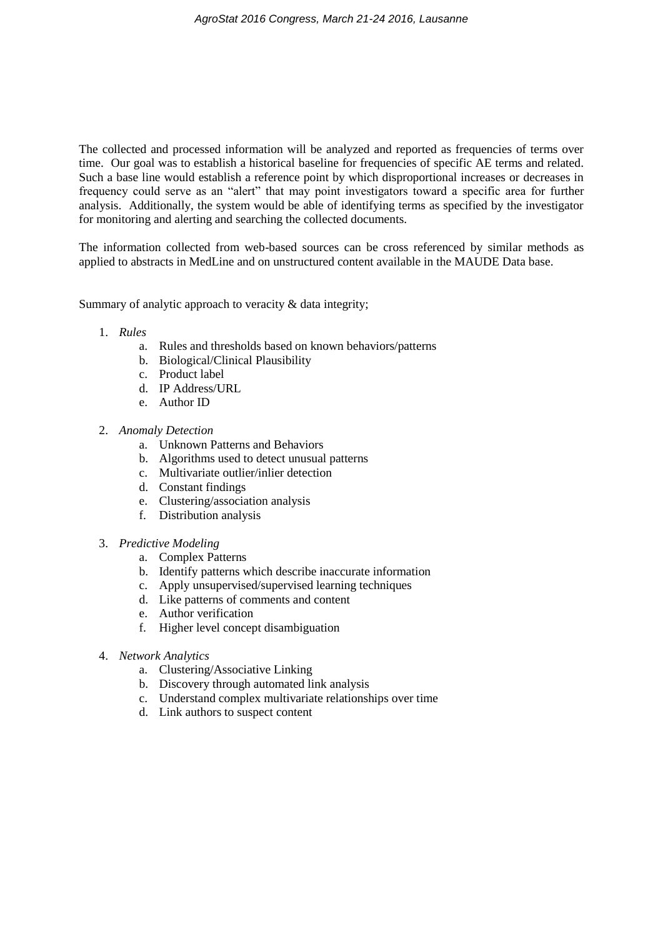The collected and processed information will be analyzed and reported as frequencies of terms over time. Our goal was to establish a historical baseline for frequencies of specific AE terms and related. Such a base line would establish a reference point by which disproportional increases or decreases in frequency could serve as an "alert" that may point investigators toward a specific area for further analysis. Additionally, the system would be able of identifying terms as specified by the investigator for monitoring and alerting and searching the collected documents.

The information collected from web-based sources can be cross referenced by similar methods as applied to abstracts in MedLine and on unstructured content available in the MAUDE Data base.

Summary of analytic approach to veracity & data integrity;

- 1. *Rules*
	- a. Rules and thresholds based on known behaviors/patterns
	- b. Biological/Clinical Plausibility
	- c. Product label
	- d. IP Address/URL
	- e. Author ID
- 2. *Anomaly Detection*
	- a. Unknown Patterns and Behaviors
	- b. Algorithms used to detect unusual patterns
	- c. Multivariate outlier/inlier detection
	- d. Constant findings
	- e. Clustering/association analysis
	- f. Distribution analysis
- 3. *Predictive Modeling*
	- a. Complex Patterns
	- b. Identify patterns which describe inaccurate information
	- c. Apply unsupervised/supervised learning techniques
	- d. Like patterns of comments and content
	- e. Author verification
	- f. Higher level concept disambiguation
- 4. *Network Analytics*
	- a. Clustering/Associative Linking
	- b. Discovery through automated link analysis
	- c. Understand complex multivariate relationships over time
	- d. Link authors to suspect content